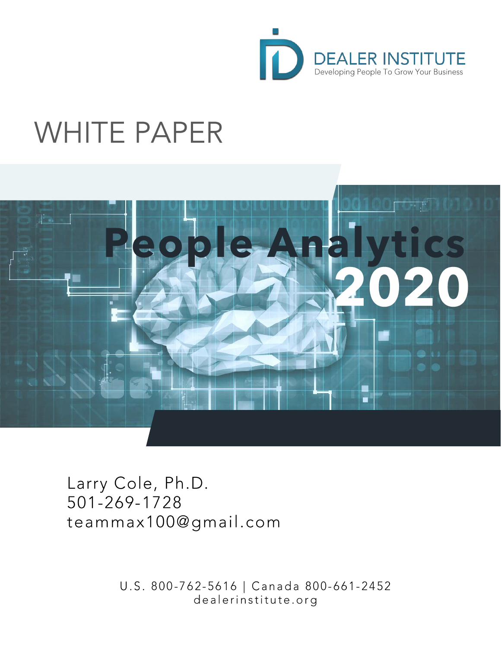

# **WHITE PAPER**



Larry Cole, Ph.D. 501-269-1728 teammax100@gmail.com

> U.S. 800-762-5616 | Canada 800-661-2452 dealerinstitute.org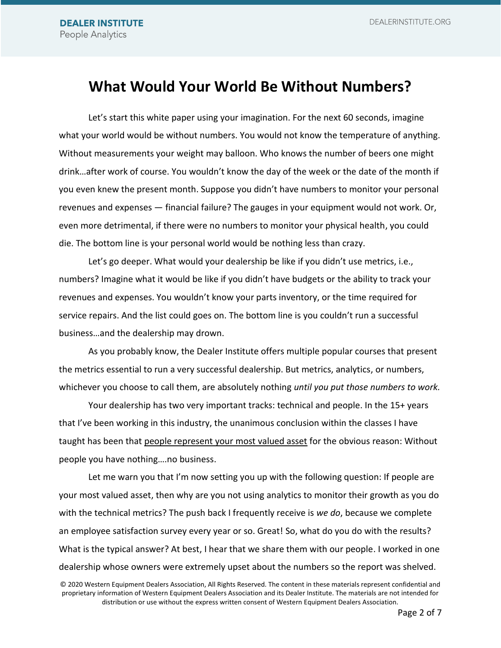## **What Would Your World Be Without Numbers?**

Let's start this white paper using your imagination. For the next 60 seconds, imagine what your world would be without numbers. You would not know the temperature of anything. Without measurements your weight may balloon. Who knows the number of beers one might drink…after work of course. You wouldn't know the day of the week or the date of the month if you even knew the present month. Suppose you didn't have numbers to monitor your personal revenues and expenses — financial failure? The gauges in your equipment would not work. Or, even more detrimental, if there were no numbers to monitor your physical health, you could die. The bottom line is your personal world would be nothing less than crazy.

Let's go deeper. What would your dealership be like if you didn't use metrics, i.e., numbers? Imagine what it would be like if you didn't have budgets or the ability to track your revenues and expenses. You wouldn't know your parts inventory, or the time required for service repairs. And the list could goes on. The bottom line is you couldn't run a successful business…and the dealership may drown.

As you probably know, the Dealer Institute offers multiple popular courses that present the metrics essential to run a very successful dealership. But metrics, analytics, or numbers, whichever you choose to call them, are absolutely nothing *until you put those numbers to work.*

Your dealership has two very important tracks: technical and people. In the 15+ years that I've been working in this industry, the unanimous conclusion within the classes I have taught has been that people represent your most valued asset for the obvious reason: Without people you have nothing….no business.

Let me warn you that I'm now setting you up with the following question: If people are your most valued asset, then why are you not using analytics to monitor their growth as you do with the technical metrics? The push back I frequently receive is *we do*, because we complete an employee satisfaction survey every year or so. Great! So, what do you do with the results? What is the typical answer? At best, I hear that we share them with our people. I worked in one dealership whose owners were extremely upset about the numbers so the report was shelved.

<sup>© 2020</sup> Western Equipment Dealers Association, All Rights Reserved. The content in these materials represent confidential and proprietary information of Western Equipment Dealers Association and its Dealer Institute. The materials are not intended for distribution or use without the express written consent of Western Equipment Dealers Association.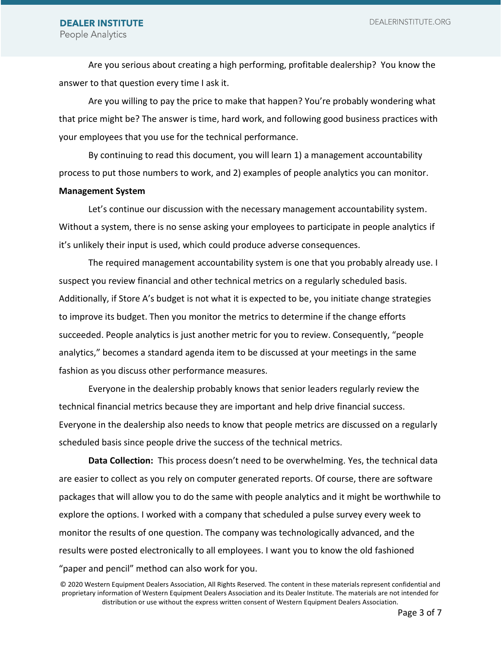DEALERINSTITUTE.ORG

Are you serious about creating a high performing, profitable dealership? You know the answer to that question every time I ask it.

Are you willing to pay the price to make that happen? You're probably wondering what that price might be? The answer is time, hard work, and following good business practices with your employees that you use for the technical performance.

By continuing to read this document, you will learn 1) a management accountability process to put those numbers to work, and 2) examples of people analytics you can monitor.

#### **Management System**

Let's continue our discussion with the necessary management accountability system. Without a system, there is no sense asking your employees to participate in people analytics if it's unlikely their input is used, which could produce adverse consequences.

The required management accountability system is one that you probably already use. I suspect you review financial and other technical metrics on a regularly scheduled basis. Additionally, if Store A's budget is not what it is expected to be, you initiate change strategies to improve its budget. Then you monitor the metrics to determine if the change efforts succeeded. People analytics is just another metric for you to review. Consequently, "people analytics," becomes a standard agenda item to be discussed at your meetings in the same fashion as you discuss other performance measures.

Everyone in the dealership probably knows that senior leaders regularly review the technical financial metrics because they are important and help drive financial success. Everyone in the dealership also needs to know that people metrics are discussed on a regularly scheduled basis since people drive the success of the technical metrics.

**Data Collection:** This process doesn't need to be overwhelming. Yes, the technical data are easier to collect as you rely on computer generated reports. Of course, there are software packages that will allow you to do the same with people analytics and it might be worthwhile to explore the options. I worked with a company that scheduled a pulse survey every week to monitor the results of one question. The company was technologically advanced, and the results were posted electronically to all employees. I want you to know the old fashioned "paper and pencil" method can also work for you.

<sup>© 2020</sup> Western Equipment Dealers Association, All Rights Reserved. The content in these materials represent confidential and proprietary information of Western Equipment Dealers Association and its Dealer Institute. The materials are not intended for distribution or use without the express written consent of Western Equipment Dealers Association.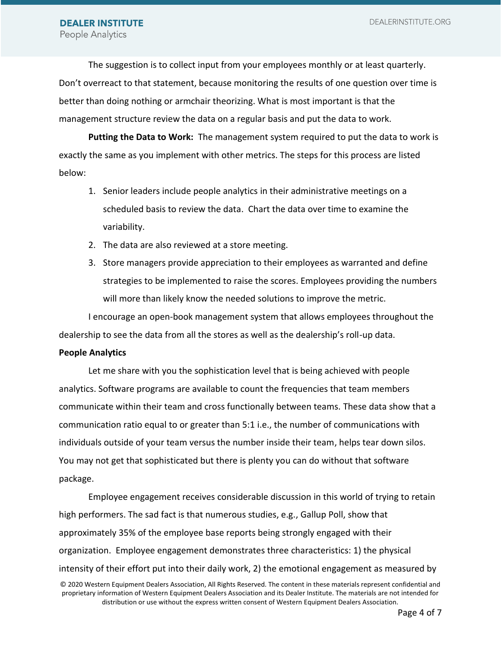The suggestion is to collect input from your employees monthly or at least quarterly. Don't overreact to that statement, because monitoring the results of one question over time is better than doing nothing or armchair theorizing. What is most important is that the management structure review the data on a regular basis and put the data to work.

**Putting the Data to Work:** The management system required to put the data to work is exactly the same as you implement with other metrics. The steps for this process are listed below:

- 1. Senior leaders include people analytics in their administrative meetings on a scheduled basis to review the data. Chart the data over time to examine the variability.
- 2. The data are also reviewed at a store meeting.
- 3. Store managers provide appreciation to their employees as warranted and define strategies to be implemented to raise the scores. Employees providing the numbers will more than likely know the needed solutions to improve the metric.

I encourage an open-book management system that allows employees throughout the dealership to see the data from all the stores as well as the dealership's roll-up data.

#### **People Analytics**

Let me share with you the sophistication level that is being achieved with people analytics. Software programs are available to count the frequencies that team members communicate within their team and cross functionally between teams. These data show that a communication ratio equal to or greater than 5:1 i.e., the number of communications with individuals outside of your team versus the number inside their team, helps tear down silos. You may not get that sophisticated but there is plenty you can do without that software package.

© 2020 Western Equipment Dealers Association, All Rights Reserved. The content in these materials represent confidential and Employee engagement receives considerable discussion in this world of trying to retain high performers. The sad fact is that numerous studies, e.g., Gallup Poll, show that approximately 35% of the employee base reports being strongly engaged with their organization. Employee engagement demonstrates three characteristics: 1) the physical intensity of their effort put into their daily work, 2) the emotional engagement as measured by

proprietary information of Western Equipment Dealers Association and its Dealer Institute. The materials are not intended for distribution or use without the express written consent of Western Equipment Dealers Association.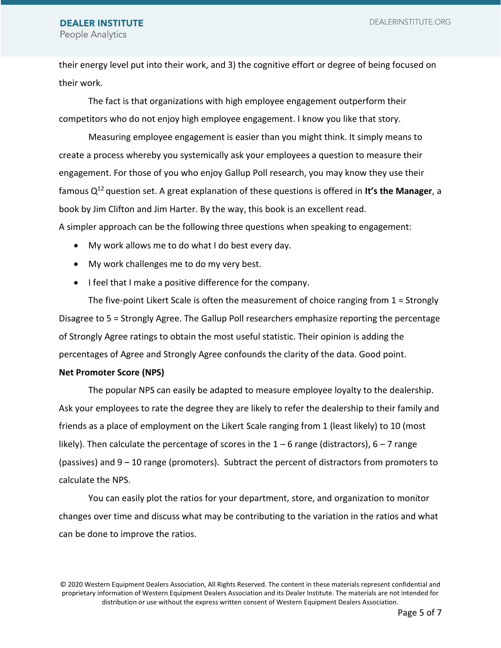DEALERINSTITUTE.ORG

#### **DEALER INSTITUTE** People Analytics

their energy level put into their work, and 3) the cognitive effort or degree of being focused on their work.

The fact is that organizations with high employee engagement outperform their competitors who do not enjoy high employee engagement. I know you like that story.

Measuring employee engagement is easier than you might think. It simply means to create a process whereby you systemically ask your employees a question to measure their engagement. For those of you who enjoy Gallup Poll research, you may know they use their famous Q<sup>12</sup>question set. A great explanation of these questions is offered in **It's the Manager**, a book by Jim Clifton and Jim Harter. By the way, this book is an excellent read.

A simpler approach can be the following three questions when speaking to engagement:

- My work allows me to do what I do best every day.
- My work challenges me to do my very best.
- I feel that I make a positive difference for the company.

The five-point Likert Scale is often the measurement of choice ranging from 1 = Strongly Disagree to 5 = Strongly Agree. The Gallup Poll researchers emphasize reporting the percentage of Strongly Agree ratings to obtain the most useful statistic. Their opinion is adding the percentages of Agree and Strongly Agree confounds the clarity of the data. Good point.

#### **Net Promoter Score (NPS)**

The popular NPS can easily be adapted to measure employee loyalty to the dealership. Ask your employees to rate the degree they are likely to refer the dealership to their family and friends as a place of employment on the Likert Scale ranging from 1 (least likely) to 10 (most likely). Then calculate the percentage of scores in the  $1 - 6$  range (distractors),  $6 - 7$  range (passives) and 9 – 10 range (promoters). Subtract the percent of distractors from promoters to calculate the NPS.

You can easily plot the ratios for your department, store, and organization to monitor changes over time and discuss what may be contributing to the variation in the ratios and what can be done to improve the ratios.

© 2020 Western Equipment Dealers Association, All Rights Reserved. The content in these materials represent confidential and proprietary information of Western Equipment Dealers Association and its Dealer Institute. The materials are not intended for distribution or use without the express written consent of Western Equipment Dealers Association.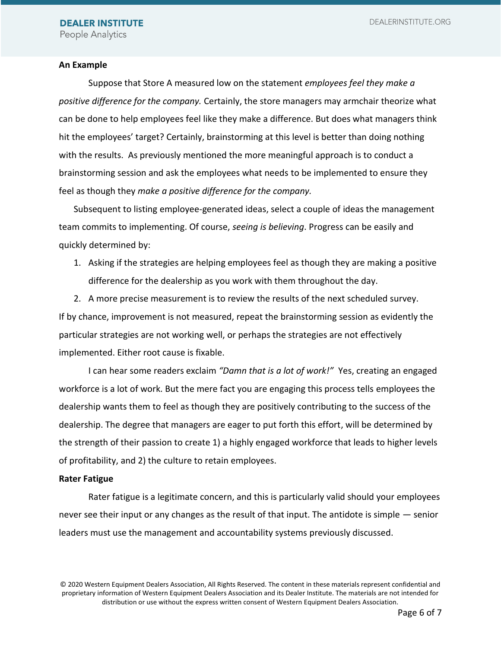#### **An Example**

Suppose that Store A measured low on the statement *employees feel they make a positive difference for the company.* Certainly, the store managers may armchair theorize what can be done to help employees feel like they make a difference. But does what managers think hit the employees' target? Certainly, brainstorming at this level is better than doing nothing with the results. As previously mentioned the more meaningful approach is to conduct a brainstorming session and ask the employees what needs to be implemented to ensure they feel as though they *make a positive difference for the company.*

Subsequent to listing employee-generated ideas, select a couple of ideas the management team commits to implementing. Of course, *seeing is believing*. Progress can be easily and quickly determined by:

1. Asking if the strategies are helping employees feel as though they are making a positive difference for the dealership as you work with them throughout the day.

2. A more precise measurement is to review the results of the next scheduled survey. If by chance, improvement is not measured, repeat the brainstorming session as evidently the particular strategies are not working well, or perhaps the strategies are not effectively implemented. Either root cause is fixable.

I can hear some readers exclaim *"Damn that is a lot of work!"* Yes, creating an engaged workforce is a lot of work. But the mere fact you are engaging this process tells employees the dealership wants them to feel as though they are positively contributing to the success of the dealership. The degree that managers are eager to put forth this effort, will be determined by the strength of their passion to create 1) a highly engaged workforce that leads to higher levels of profitability, and 2) the culture to retain employees.

#### **Rater Fatigue**

Rater fatigue is a legitimate concern, and this is particularly valid should your employees never see their input or any changes as the result of that input. The antidote is simple — senior leaders must use the management and accountability systems previously discussed.

<sup>© 2020</sup> Western Equipment Dealers Association, All Rights Reserved. The content in these materials represent confidential and proprietary information of Western Equipment Dealers Association and its Dealer Institute. The materials are not intended for distribution or use without the express written consent of Western Equipment Dealers Association.